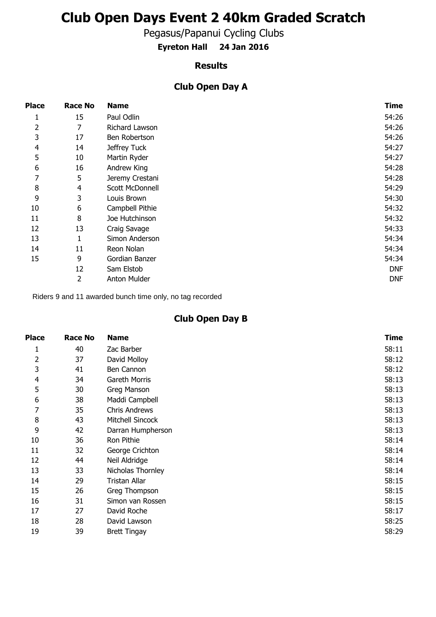# **Club Open Days Event 2 40km Graded Scratch**

Pegasus/Papanui Cycling Clubs

**Eyreton Hall 24 Jan 2016**

#### **Results**

#### **Club Open Day A**

| <b>Place</b>   | <b>Race No</b> | <b>Name</b>     | <b>Time</b> |
|----------------|----------------|-----------------|-------------|
| 1              | 15             | Paul Odlin      | 54:26       |
| 2              | 7              | Richard Lawson  | 54:26       |
| 3              | 17             | Ben Robertson   | 54:26       |
| $\overline{4}$ | 14             | Jeffrey Tuck    | 54:27       |
| 5              | 10             | Martin Ryder    | 54:27       |
| 6              | 16             | Andrew King     | 54:28       |
| 7              | 5              | Jeremy Crestani | 54:28       |
| 8              | $\overline{4}$ | Scott McDonnell | 54:29       |
| 9              | 3              | Louis Brown     | 54:30       |
| 10             | 6              | Campbell Pithie | 54:32       |
| 11             | 8              | Joe Hutchinson  | 54:32       |
| 12             | 13             | Craig Savage    | 54:33       |
| 13             | 1              | Simon Anderson  | 54:34       |
| 14             | 11             | Reon Nolan      | 54:34       |
| 15             | 9              | Gordian Banzer  | 54:34       |
|                | 12             | Sam Elstob      | <b>DNF</b>  |
|                | 2              | Anton Mulder    | DNF         |

Riders 9 and 11 awarded bunch time only, no tag recorded

### **Club Open Day B**

| Place          | <b>Race No</b> | <b>Name</b>          | <b>Time</b> |
|----------------|----------------|----------------------|-------------|
| 1              | 40             | Zac Barber           | 58:11       |
| 2              | 37             | David Molloy         | 58:12       |
| 3              | 41             | Ben Cannon           | 58:12       |
| $\overline{4}$ | 34             | Gareth Morris        | 58:13       |
| 5              | 30             | Greg Manson          | 58:13       |
| 6              | 38             | Maddi Campbell       | 58:13       |
| 7              | 35             | <b>Chris Andrews</b> | 58:13       |
| 8              | 43             | Mitchell Sincock     | 58:13       |
| 9              | 42             | Darran Humpherson    | 58:13       |
| 10             | 36             | Ron Pithie           | 58:14       |
| 11             | 32             | George Crichton      | 58:14       |
| 12             | 44             | Neil Aldridge        | 58:14       |
| 13             | 33             | Nicholas Thornley    | 58:14       |
| 14             | 29             | Tristan Allar        | 58:15       |
| 15             | 26             | Greg Thompson        | 58:15       |
| 16             | 31             | Simon van Rossen     | 58:15       |
| 17             | 27             | David Roche          | 58:17       |
| 18             | 28             | David Lawson         | 58:25       |
| 19             | 39             | <b>Brett Tingay</b>  | 58:29       |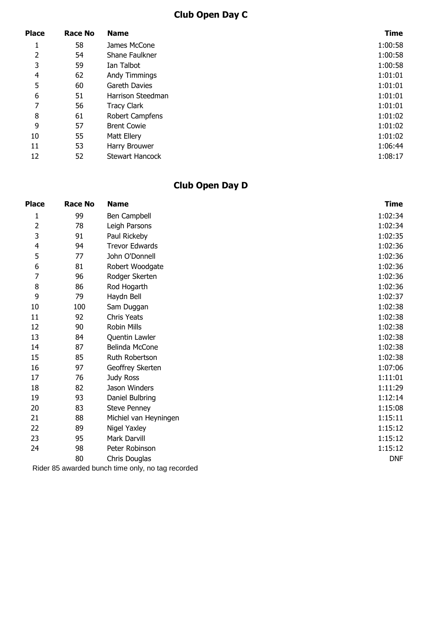## **Club Open Day C**

| <b>Place</b>   | <b>Race No</b> | <b>Name</b>            | <b>Time</b> |
|----------------|----------------|------------------------|-------------|
| T.             | 58             | James McCone           | 1:00:58     |
| 2              | 54             | Shane Faulkner         | 1:00:58     |
| 3              | 59             | Ian Talbot             | 1:00:58     |
| $\overline{4}$ | 62             | Andy Timmings          | 1:01:01     |
| 5              | 60             | Gareth Davies          | 1:01:01     |
| 6              | 51             | Harrison Steedman      | 1:01:01     |
| 7              | 56             | <b>Tracy Clark</b>     | 1:01:01     |
| 8              | 61             | Robert Campfens        | 1:01:02     |
| 9              | 57             | <b>Brent Cowie</b>     | 1:01:02     |
| 10             | 55             | Matt Ellery            | 1:01:02     |
| 11             | 53             | Harry Brouwer          | 1:06:44     |
| 12             | 52             | <b>Stewart Hancock</b> | 1:08:17     |

## **Club Open Day D**

| <b>Place</b>   | <b>Race No</b> | <b>Name</b>           | <b>Time</b> |
|----------------|----------------|-----------------------|-------------|
| $\mathbf{1}$   | 99             | Ben Campbell          | 1:02:34     |
| 2              | 78             | Leigh Parsons         | 1:02:34     |
| 3              | 91             | Paul Rickeby          | 1:02:35     |
| $\overline{4}$ | 94             | <b>Trevor Edwards</b> | 1:02:36     |
| 5              | 77             | John O'Donnell        | 1:02:36     |
| 6              | 81             | Robert Woodgate       | 1:02:36     |
| 7              | 96             | Rodger Skerten        | 1:02:36     |
| 8              | 86             | Rod Hogarth           | 1:02:36     |
| 9              | 79             | Haydn Bell            | 1:02:37     |
| 10             | 100            | Sam Duggan            | 1:02:38     |
| 11             | 92             | <b>Chris Yeats</b>    | 1:02:38     |
| 12             | 90             | Robin Mills           | 1:02:38     |
| 13             | 84             | Quentin Lawler        | 1:02:38     |
| 14             | 87             | Belinda McCone        | 1:02:38     |
| 15             | 85             | Ruth Robertson        | 1:02:38     |
| 16             | 97             | Geoffrey Skerten      | 1:07:06     |
| 17             | 76             | Judy Ross             | 1:11:01     |
| 18             | 82             | Jason Winders         | 1:11:29     |
| 19             | 93             | Daniel Bulbring       | 1:12:14     |
| 20             | 83             | <b>Steve Penney</b>   | 1:15:08     |
| 21             | 88             | Michiel van Heyningen | 1:15:11     |
| 22             | 89             | Nigel Yaxley          | 1:15:12     |
| 23             | 95             | Mark Darvill          | 1:15:12     |
| 24             | 98             | Peter Robinson        | 1:15:12     |
|                | 80             | Chris Douglas         | <b>DNF</b>  |
|                |                |                       |             |

Rider 85 awarded bunch time only, no tag recorded